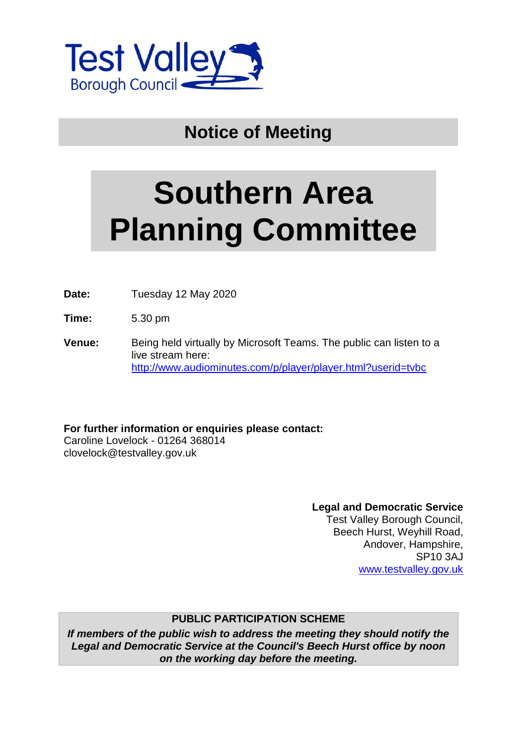

## **Notice of Meeting**

# **Southern Area Planning Committee**

**Date:** Tuesday 12 May 2020

**Time:** 5.30 pm

**Venue:** Being held virtually by Microsoft Teams. The public can listen to a live stream here: <http://www.audiominutes.com/p/player/player.html?userid=tvbc>

**For further information or enquiries please contact:**

Caroline Lovelock - 01264 368014 clovelock@testvalley.gov.uk

> **Legal and Democratic Service** Test Valley Borough Council, Beech Hurst, Weyhill Road, Andover, Hampshire, SP10 3AJ

[www.testvalley.gov.uk](http://www.testvalley.gov.uk/)

#### **PUBLIC PARTICIPATION SCHEME**

*If members of the public wish to address the meeting they should notify the Legal and Democratic Service at the Council's Beech Hurst office by noon on the working day before the meeting.*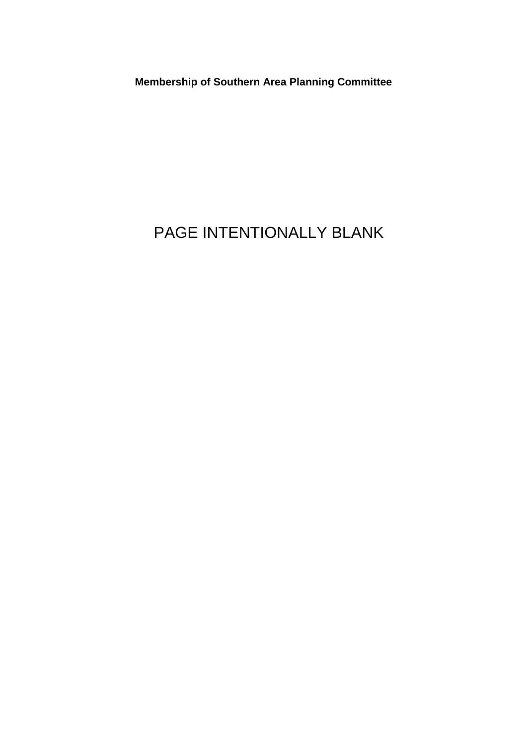**Membership of Southern Area Planning Committee**

# PAGE INTENTIONALLY BLANK